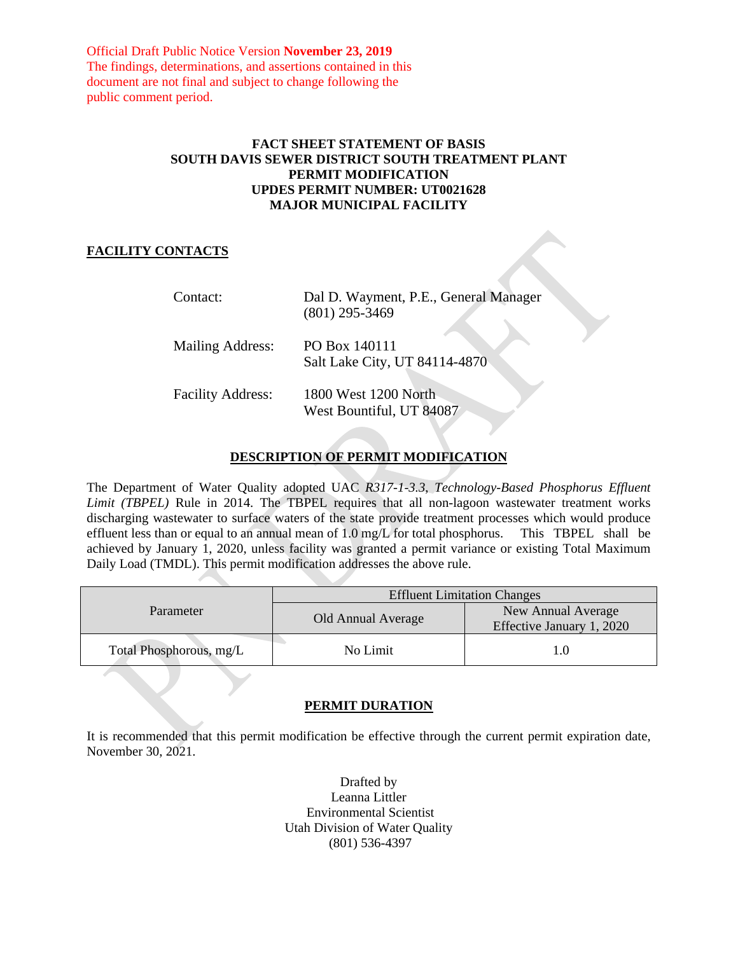Official Draft Public Notice Version **November 23, 2019** The findings, determinations, and assertions contained in this document are not final and subject to change following the public comment period.

### **FACT SHEET STATEMENT OF BASIS SOUTH DAVIS SEWER DISTRICT SOUTH TREATMENT PLANT PERMIT MODIFICATION UPDES PERMIT NUMBER: UT0021628 MAJOR MUNICIPAL FACILITY**

## **FACILITY CONTACTS**

| Contact:                 | Dal D. Wayment, P.E., General Manager<br>$(801)$ 295-3469 |
|--------------------------|-----------------------------------------------------------|
| Mailing Address:         | PO Box 140111<br>Salt Lake City, UT 84114-4870            |
| <b>Facility Address:</b> | 1800 West 1200 North<br>West Bountiful, UT 84087          |

# **DESCRIPTION OF PERMIT MODIFICATION**

The Department of Water Quality adopted UAC *R317-1-3.3*, *Technology-Based Phosphorus Effluent Limit (TBPEL)* Rule in 2014. The TBPEL requires that all non-lagoon wastewater treatment works discharging wastewater to surface waters of the state provide treatment processes which would produce effluent less than or equal to an annual mean of 1.0 mg/L for total phosphorus. This TBPEL shall be achieved by January 1, 2020, unless facility was granted a permit variance or existing Total Maximum Daily Load (TMDL). This permit modification addresses the above rule.

| Parameter               | <b>Effluent Limitation Changes</b> |                                                 |
|-------------------------|------------------------------------|-------------------------------------------------|
|                         | Old Annual Average                 | New Annual Average<br>Effective January 1, 2020 |
| Total Phosphorous, mg/L | No Limit                           |                                                 |

# **PERMIT DURATION**

It is recommended that this permit modification be effective through the current permit expiration date, November 30, 2021.

> Drafted by Leanna Littler Environmental Scientist Utah Division of Water Quality (801) 536-4397